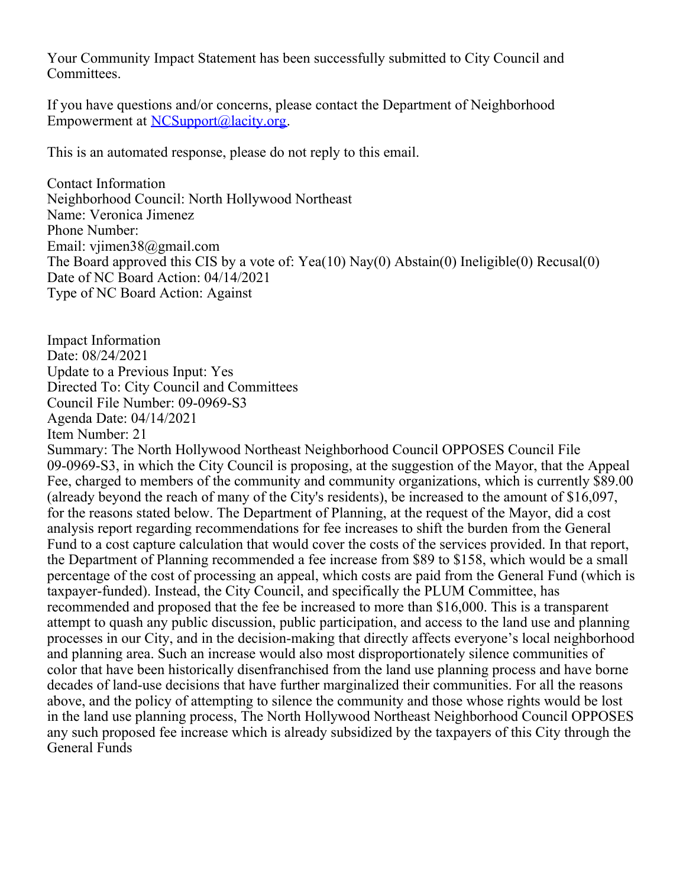Your Community Impact Statement has been successfully submitted to City Council and Committees.

If you have questions and/or concerns, please contact the Department of Neighborhood Empowerment at [NCSupport@lacity.org](mailto:NCSupport@lacity.org).

This is an automated response, please do not reply to this email.

Contact Information Neighborhood Council: North Hollywood Northeast Name: Veronica Jimenez Phone Number: Email: vjimen38@gmail.com The Board approved this CIS by a vote of: Yea(10) Nay(0) Abstain(0) Ineligible(0) Recusal(0) Date of NC Board Action: 04/14/2021 Type of NC Board Action: Against

Impact Information Date: 08/24/2021 Update to a Previous Input: Yes Directed To: City Council and Committees Council File Number: 09-0969-S3 Agenda Date: 04/14/2021 Item Number: 21

Summary: The North Hollywood Northeast Neighborhood Council OPPOSES Council File 09-0969-S3, in which the City Council is proposing, at the suggestion of the Mayor, that the Appeal Fee, charged to members of the community and community organizations, which is currently \$89.00 (already beyond the reach of many of the City's residents), be increased to the amount of \$16,097, for the reasons stated below. The Department of Planning, at the request of the Mayor, did a cost analysis report regarding recommendations for fee increases to shift the burden from the General Fund to a cost capture calculation that would cover the costs of the services provided. In that report, the Department of Planning recommended a fee increase from \$89 to \$158, which would be a small percentage of the cost of processing an appeal, which costs are paid from the General Fund (which is taxpayer-funded). Instead, the City Council, and specifically the PLUM Committee, has recommended and proposed that the fee be increased to more than \$16,000. This is a transparent attempt to quash any public discussion, public participation, and access to the land use and planning processes in our City, and in the decision-making that directly affects everyone's local neighborhood and planning area. Such an increase would also most disproportionately silence communities of color that have been historically disenfranchised from the land use planning process and have borne decades of land-use decisions that have further marginalized their communities. For all the reasons above, and the policy of attempting to silence the community and those whose rights would be lost in the land use planning process, The North Hollywood Northeast Neighborhood Council OPPOSES any such proposed fee increase which is already subsidized by the taxpayers of this City through the General Funds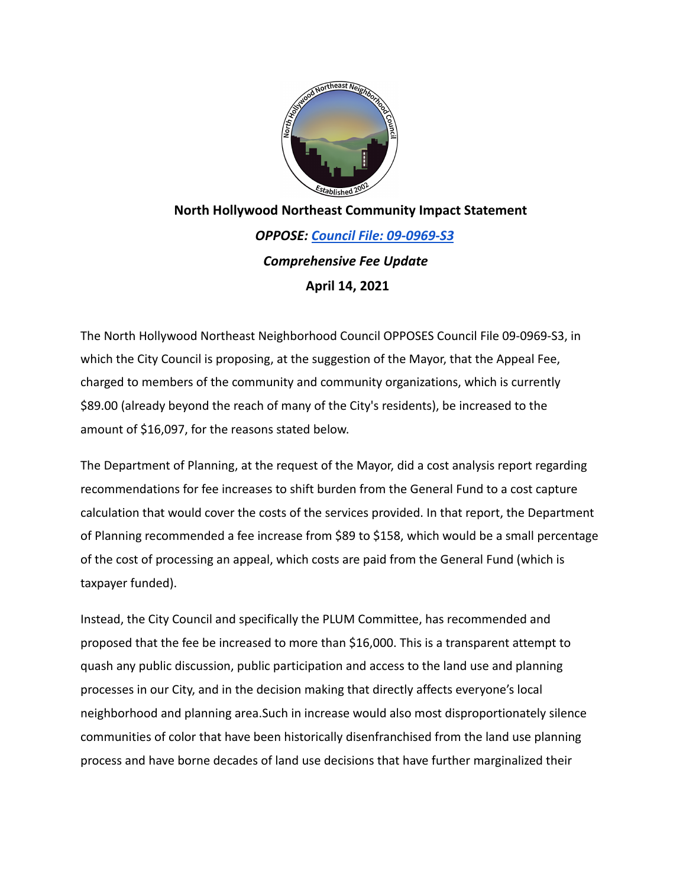

## **North Hollywood Northeast Community Impact Statement** *OPPOSE: Council File: 09-0969-S3 Comprehensive Fee Update* **April 14, 2021**

The North Hollywood Northeast Neighborhood Council OPPOSES Council File 09-0969-S3, in which the City Council is proposing, at the suggestion of the Mayor, that the Appeal Fee, charged to members of the community and community organizations, which is currently \$89.00 (already beyond the reach of many of the City's residents), be increased to the amount of \$16,097, for the reasons stated below.

The Department of Planning, at the request of the Mayor, did a cost analysis report regarding recommendations for fee increases to shift burden from the General Fund to a cost capture calculation that would cover the costs of the services provided. In that report, the Department of Planning recommended a fee increase from \$89 to \$158, which would be a small percentage of the cost of processing an appeal, which costs are paid from the General Fund (which is taxpayer funded).

Instead, the City Council and specifically the PLUM Committee, has recommended and proposed that the fee be increased to more than \$16,000. This is a transparent attempt to quash any public discussion, public participation and access to the land use and planning processes in our City, and in the decision making that directly affects everyone's local neighborhood and planning area.Such in increase would also most disproportionately silence communities of color that have been historically disenfranchised from the land use planning process and have borne decades of land use decisions that have further marginalized their